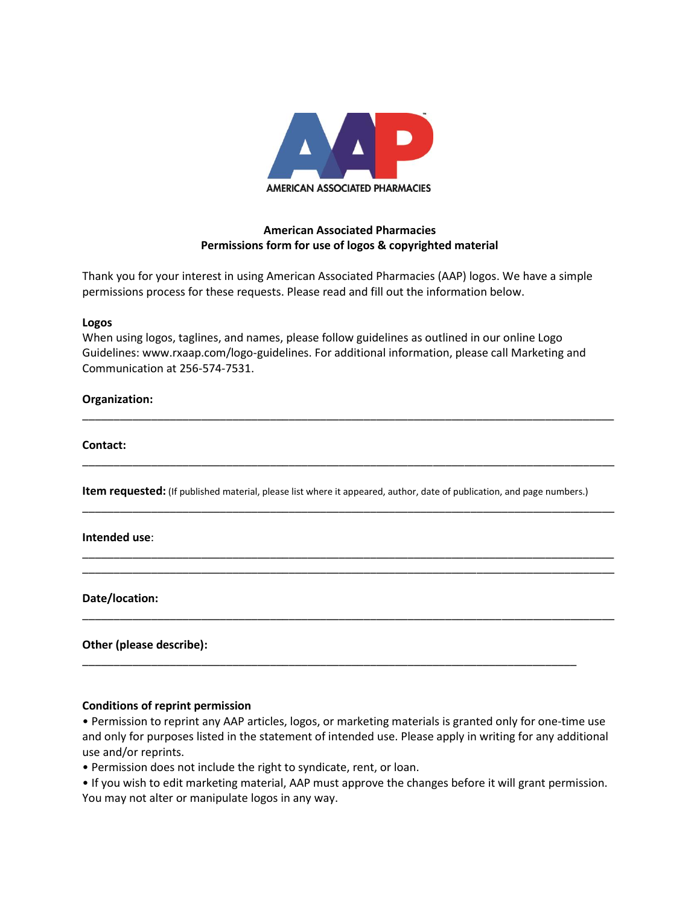

# **American Associated Pharmacies Permissions form for use of logos & copyrighted material**

Thank you for your interest in using American Associated Pharmacies (AAP) logos. We have a simple permissions process for these requests. Please read and fill out the information below.

## **Logos**

When using logos, taglines, and names, please follow guidelines as outlined in our online Logo Guidelines: www.rxaap.com/logo-guidelines. For additional information, please call Marketing and Communication at 256-574-7531.

\_\_\_\_\_\_\_\_\_\_\_\_\_\_\_\_\_\_\_\_\_\_\_\_\_\_\_\_\_\_\_\_\_\_\_\_\_\_\_\_\_\_\_\_\_\_\_\_\_\_\_\_\_\_\_\_\_\_\_\_\_\_\_\_\_\_\_\_\_\_\_\_\_\_\_\_\_\_\_\_\_\_\_\_\_

\_\_\_\_\_\_\_\_\_\_\_\_\_\_\_\_\_\_\_\_\_\_\_\_\_\_\_\_\_\_\_\_\_\_\_\_\_\_\_\_\_\_\_\_\_\_\_\_\_\_\_\_\_\_\_\_\_\_\_\_\_\_\_\_\_\_\_\_\_\_\_\_\_\_\_\_\_\_\_\_\_\_\_\_\_

\_\_\_\_\_\_\_\_\_\_\_\_\_\_\_\_\_\_\_\_\_\_\_\_\_\_\_\_\_\_\_\_\_\_\_\_\_\_\_\_\_\_\_\_\_\_\_\_\_\_\_\_\_\_\_\_\_\_\_\_\_\_\_\_\_\_\_\_\_\_\_\_\_\_\_\_\_\_\_\_\_\_\_\_\_

\_\_\_\_\_\_\_\_\_\_\_\_\_\_\_\_\_\_\_\_\_\_\_\_\_\_\_\_\_\_\_\_\_\_\_\_\_\_\_\_\_\_\_\_\_\_\_\_\_\_\_\_\_\_\_\_\_\_\_\_\_\_\_\_\_\_\_\_\_\_\_\_\_\_\_\_\_\_\_\_\_\_\_\_\_ \_\_\_\_\_\_\_\_\_\_\_\_\_\_\_\_\_\_\_\_\_\_\_\_\_\_\_\_\_\_\_\_\_\_\_\_\_\_\_\_\_\_\_\_\_\_\_\_\_\_\_\_\_\_\_\_\_\_\_\_\_\_\_\_\_\_\_\_\_\_\_\_\_\_\_\_\_\_\_\_\_\_\_\_\_

\_\_\_\_\_\_\_\_\_\_\_\_\_\_\_\_\_\_\_\_\_\_\_\_\_\_\_\_\_\_\_\_\_\_\_\_\_\_\_\_\_\_\_\_\_\_\_\_\_\_\_\_\_\_\_\_\_\_\_\_\_\_\_\_\_\_\_\_\_\_\_\_\_\_\_\_\_\_\_\_\_\_\_\_\_

\_\_\_\_\_\_\_\_\_\_\_\_\_\_\_\_\_\_\_\_\_\_\_\_\_\_\_\_\_\_\_\_\_\_\_\_\_\_\_\_\_\_\_\_\_\_\_\_\_\_\_\_\_\_\_\_\_\_\_\_\_\_\_\_\_\_\_\_\_\_\_\_\_\_\_\_\_\_\_

# **Organization:**

## **Contact:**

**Item requested:** (If published material, please list where it appeared, author, date of publication, and page numbers.)

## **Intended use**:

**Date/location:**

# **Other (please describe):**

## **Conditions of reprint permission**

• Permission to reprint any AAP articles, logos, or marketing materials is granted only for one-time use and only for purposes listed in the statement of intended use. Please apply in writing for any additional use and/or reprints.

• Permission does not include the right to syndicate, rent, or loan.

• If you wish to edit marketing material, AAP must approve the changes before it will grant permission. You may not alter or manipulate logos in any way.